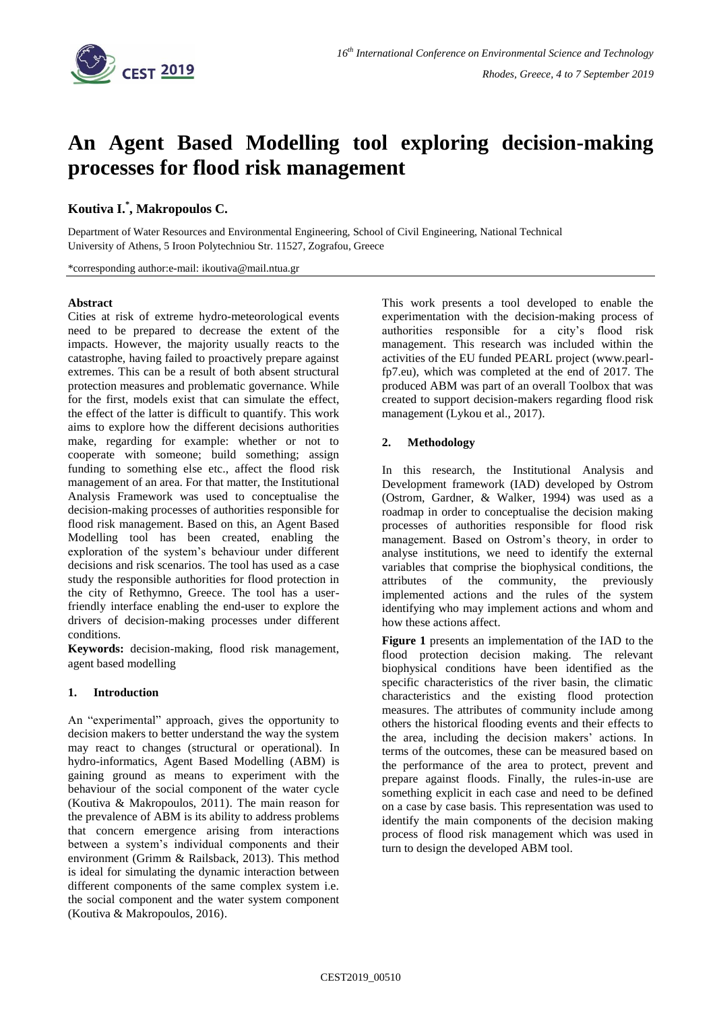

# **An Agent Based Modelling tool exploring decision-making processes for flood risk management**

## **Koutiva I.\* , Makropoulos C.**

Department of Water Resources and Environmental Engineering, School of Civil Engineering, National Technical University of Athens, 5 Iroon Polytechniou Str. 11527, Zografou, Greece

\*corresponding author:e-mail: ikoutiva@mail.ntua.gr

### **Abstract**

Cities at risk of extreme hydro-meteorological events need to be prepared to decrease the extent of the impacts. However, the majority usually reacts to the catastrophe, having failed to proactively prepare against extremes. This can be a result of both absent structural protection measures and problematic governance. While for the first, models exist that can simulate the effect, the effect of the latter is difficult to quantify. This work aims to explore how the different decisions authorities make, regarding for example: whether or not to cooperate with someone; build something; assign funding to something else etc., affect the flood risk management of an area. For that matter, the Institutional Analysis Framework was used to conceptualise the decision-making processes of authorities responsible for flood risk management. Based on this, an Agent Based Modelling tool has been created, enabling the exploration of the system's behaviour under different decisions and risk scenarios. The tool has used as a case study the responsible authorities for flood protection in the city of Rethymno, Greece. The tool has a userfriendly interface enabling the end-user to explore the drivers of decision-making processes under different conditions.

**Keywords:** decision-making, flood risk management, agent based modelling

### **1. Introduction**

An "experimental" approach, gives the opportunity to decision makers to better understand the way the system may react to changes (structural or operational). In hydro-informatics, Agent Based Modelling (ABM) is gaining ground as means to experiment with the behaviour of the social component of the water cycle (Koutiva & Makropoulos, 2011). The main reason for the prevalence of ABM is its ability to address problems that concern emergence arising from interactions between a system's individual components and their environment (Grimm & Railsback, 2013). This method is ideal for simulating the dynamic interaction between different components of the same complex system i.e. the social component and the water system component (Koutiva & Makropoulos, 2016).

This work presents a tool developed to enable the experimentation with the decision-making process of authorities responsible for a city's flood risk management. This research was included within the activities of the EU funded PEARL project (www.pearlfp7.eu), which was completed at the end of 2017. The produced ABM was part of an overall Toolbox that was created to support decision-makers regarding flood risk management (Lykou et al., 2017).

## **2. Methodology**

In this research, the Institutional Analysis and Development framework (IAD) developed by Ostrom (Ostrom, Gardner, & Walker, 1994) was used as a roadmap in order to conceptualise the decision making processes of authorities responsible for flood risk management. Based on Ostrom's theory, in order to analyse institutions, we need to identify the external variables that comprise the biophysical conditions, the attributes of the community, the previously implemented actions and the rules of the system identifying who may implement actions and whom and how these actions affect.

**[Figure 1](#page-1-0)** presents an implementation of the IAD to the flood protection decision making. The relevant biophysical conditions have been identified as the specific characteristics of the river basin, the climatic characteristics and the existing flood protection measures. The attributes of community include among others the historical flooding events and their effects to the area, including the decision makers' actions. In terms of the outcomes, these can be measured based on the performance of the area to protect, prevent and prepare against floods. Finally, the rules-in-use are something explicit in each case and need to be defined on a case by case basis. This representation was used to identify the main components of the decision making process of flood risk management which was used in turn to design the developed ABM tool.